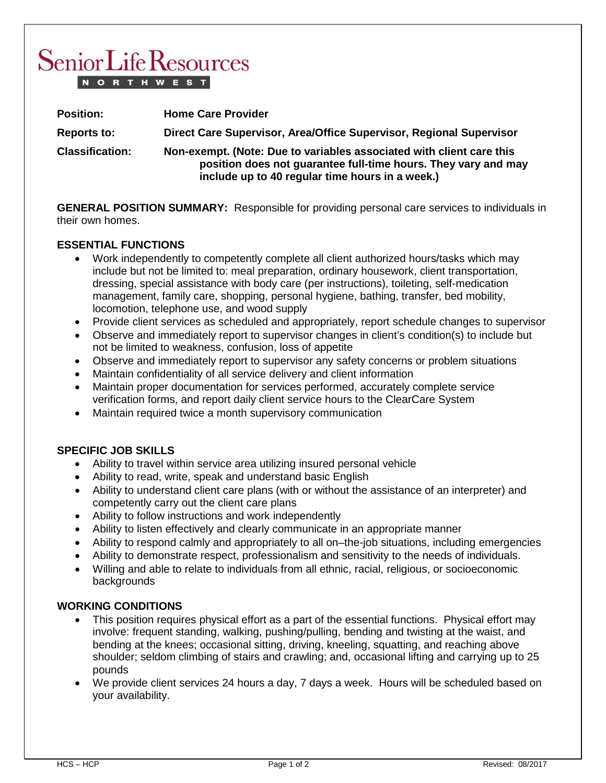# **Senior Life Resources NORTHWEST**

| <b>Position:</b>       | <b>Home Care Provider</b>                                                                                                                                                                 |
|------------------------|-------------------------------------------------------------------------------------------------------------------------------------------------------------------------------------------|
| <b>Reports to:</b>     | Direct Care Supervisor, Area/Office Supervisor, Regional Supervisor                                                                                                                       |
| <b>Classification:</b> | Non-exempt. (Note: Due to variables associated with client care this<br>position does not guarantee full-time hours. They vary and may<br>include up to 40 regular time hours in a week.) |

**GENERAL POSITION SUMMARY:** Responsible for providing personal care services to individuals in their own homes.

## **ESSENTIAL FUNCTIONS**

- Work independently to competently complete all client authorized hours/tasks which may include but not be limited to: meal preparation, ordinary housework, client transportation, dressing, special assistance with body care (per instructions), toileting, self-medication management, family care, shopping, personal hygiene, bathing, transfer, bed mobility, locomotion, telephone use, and wood supply
- Provide client services as scheduled and appropriately, report schedule changes to supervisor
- Observe and immediately report to supervisor changes in client's condition(s) to include but not be limited to weakness, confusion, loss of appetite
- Observe and immediately report to supervisor any safety concerns or problem situations
- Maintain confidentiality of all service delivery and client information
- Maintain proper documentation for services performed, accurately complete service verification forms, and report daily client service hours to the ClearCare System
- Maintain required twice a month supervisory communication

## **SPECIFIC JOB SKILLS**

- Ability to travel within service area utilizing insured personal vehicle
- Ability to read, write, speak and understand basic English
- Ability to understand client care plans (with or without the assistance of an interpreter) and competently carry out the client care plans
- Ability to follow instructions and work independently
- Ability to listen effectively and clearly communicate in an appropriate manner
- Ability to respond calmly and appropriately to all on–the-job situations, including emergencies
- Ability to demonstrate respect, professionalism and sensitivity to the needs of individuals.
- Willing and able to relate to individuals from all ethnic, racial, religious, or socioeconomic backgrounds

#### **WORKING CONDITIONS**

- This position requires physical effort as a part of the essential functions. Physical effort may involve: frequent standing, walking, pushing/pulling, bending and twisting at the waist, and bending at the knees; occasional sitting, driving, kneeling, squatting, and reaching above shoulder; seldom climbing of stairs and crawling; and, occasional lifting and carrying up to 25 pounds
- We provide client services 24 hours a day, 7 days a week. Hours will be scheduled based on your availability.